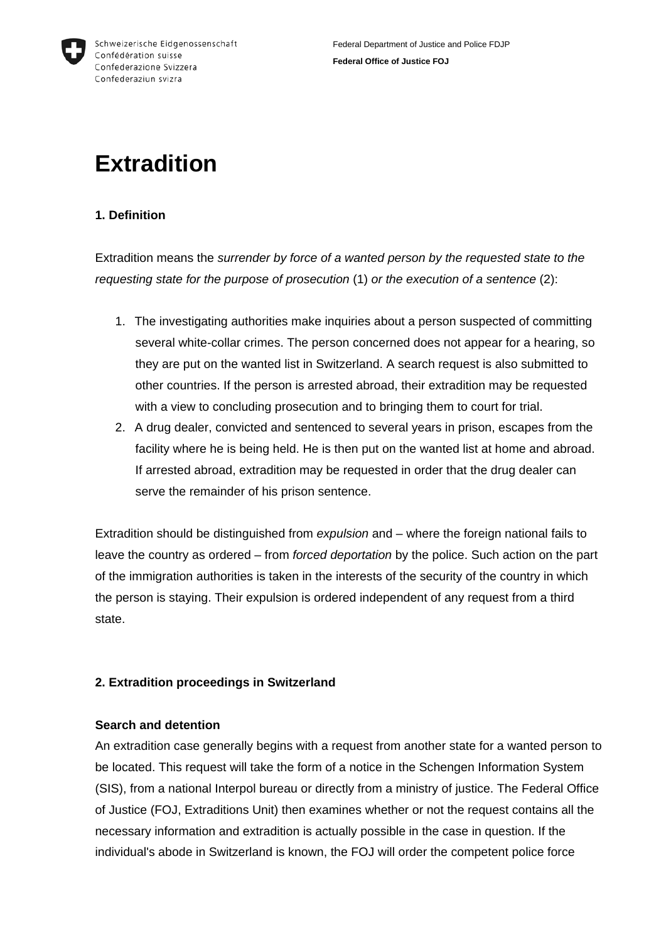

# **1. Definition**

Extradition means the *surrender by force of a wanted person by the requested state to the requesting state for the purpose of prosecution* (1) *or the execution of a sentence* (2):

- 1. The investigating authorities make inquiries about a person suspected of committing several white-collar crimes. The person concerned does not appear for a hearing, so they are put on the wanted list in Switzerland. A search request is also submitted to other countries. If the person is arrested abroad, their extradition may be requested with a view to concluding prosecution and to bringing them to court for trial.
- 2. A drug dealer, convicted and sentenced to several years in prison, escapes from the facility where he is being held. He is then put on the wanted list at home and abroad. If arrested abroad, extradition may be requested in order that the drug dealer can serve the remainder of his prison sentence.

Extradition should be distinguished from *expulsion* and – where the foreign national fails to leave the country as ordered – from *forced deportation* by the police. Such action on the part of the immigration authorities is taken in the interests of the security of the country in which the person is staying. Their expulsion is ordered independent of any request from a third state.

# **2. Extradition proceedings in Switzerland**

# **Search and detention**

An extradition case generally begins with a request from another state for a wanted person to be located. This request will take the form of a notice in the Schengen Information System (SIS), from a national Interpol bureau or directly from a ministry of justice. The Federal Office of Justice (FOJ, Extraditions Unit) then examines whether or not the request contains all the necessary information and extradition is actually possible in the case in question. If the individual's abode in Switzerland is known, the FOJ will order the competent police force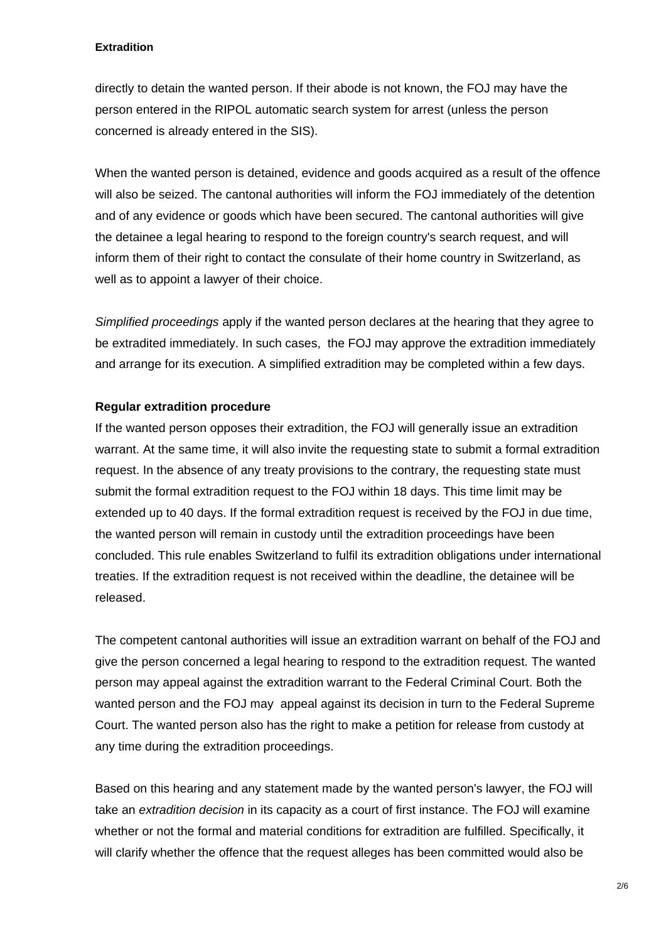directly to detain the wanted person. If their abode is not known, the FOJ may have the person entered in the RIPOL automatic search system for arrest (unless the person concerned is already entered in the SIS).

When the wanted person is detained, evidence and goods acquired as a result of the offence will also be seized. The cantonal authorities will inform the FOJ immediately of the detention and of any evidence or goods which have been secured. The cantonal authorities will give the detainee a legal hearing to respond to the foreign country's search request, and will inform them of their right to contact the consulate of their home country in Switzerland, as well as to appoint a lawyer of their choice.

*Simplified proceedings* apply if the wanted person declares at the hearing that they agree to be extradited immediately. In such cases, the FOJ may approve the extradition immediately and arrange for its execution. A simplified extradition may be completed within a few days.

## **Regular extradition procedure**

If the wanted person opposes their extradition, the FOJ will generally issue an extradition warrant. At the same time, it will also invite the requesting state to submit a formal extradition request. In the absence of any treaty provisions to the contrary, the requesting state must submit the formal extradition request to the FOJ within 18 days. This time limit may be extended up to 40 days. If the formal extradition request is received by the FOJ in due time, the wanted person will remain in custody until the extradition proceedings have been concluded. This rule enables Switzerland to fulfil its extradition obligations under international treaties. If the extradition request is not received within the deadline, the detainee will be released.

The competent cantonal authorities will issue an extradition warrant on behalf of the FOJ and give the person concerned a legal hearing to respond to the extradition request. The wanted person may appeal against the extradition warrant to the Federal Criminal Court. Both the wanted person and the FOJ may appeal against its decision in turn to the Federal Supreme Court. The wanted person also has the right to make a petition for release from custody at any time during the extradition proceedings.

Based on this hearing and any statement made by the wanted person's lawyer, the FOJ will take an *extradition decision* in its capacity as a court of first instance. The FOJ will examine whether or not the formal and material conditions for extradition are fulfilled. Specifically, it will clarify whether the offence that the request alleges has been committed would also be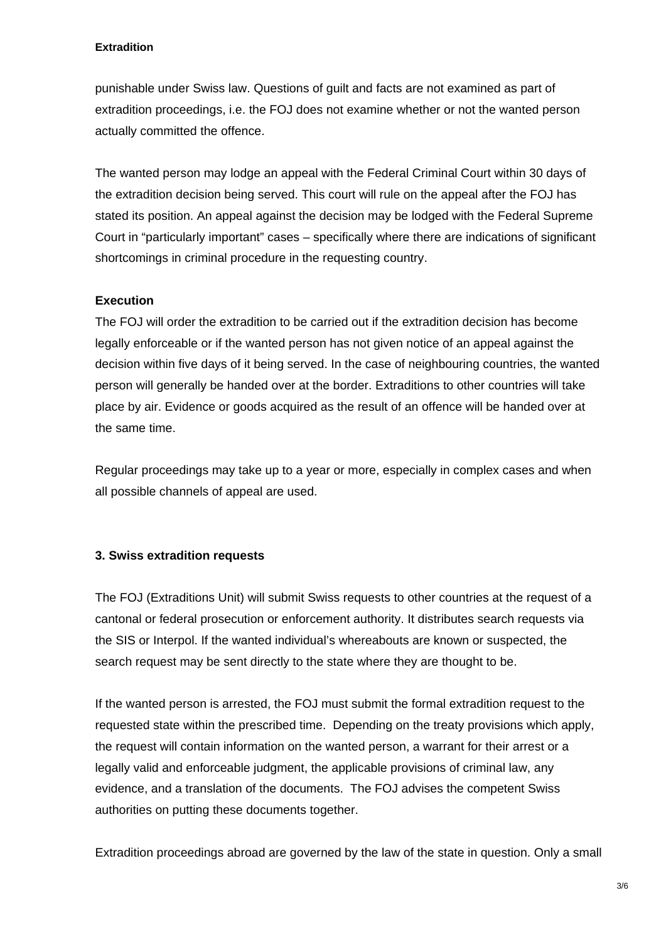punishable under Swiss law. Questions of guilt and facts are not examined as part of extradition proceedings, i.e. the FOJ does not examine whether or not the wanted person actually committed the offence.

The wanted person may lodge an appeal with the Federal Criminal Court within 30 days of the extradition decision being served. This court will rule on the appeal after the FOJ has stated its position. An appeal against the decision may be lodged with the Federal Supreme Court in "particularly important" cases – specifically where there are indications of significant shortcomings in criminal procedure in the requesting country.

## **Execution**

The FOJ will order the extradition to be carried out if the extradition decision has become legally enforceable or if the wanted person has not given notice of an appeal against the decision within five days of it being served. In the case of neighbouring countries, the wanted person will generally be handed over at the border. Extraditions to other countries will take place by air. Evidence or goods acquired as the result of an offence will be handed over at the same time.

Regular proceedings may take up to a year or more, especially in complex cases and when all possible channels of appeal are used.

#### **3. Swiss extradition requests**

The FOJ (Extraditions Unit) will submit Swiss requests to other countries at the request of a cantonal or federal prosecution or enforcement authority. It distributes search requests via the SIS or Interpol. If the wanted individual's whereabouts are known or suspected, the search request may be sent directly to the state where they are thought to be.

If the wanted person is arrested, the FOJ must submit the formal extradition request to the requested state within the prescribed time. Depending on the treaty provisions which apply, the request will contain information on the wanted person, a warrant for their arrest or a legally valid and enforceable judgment, the applicable provisions of criminal law, any evidence, and a translation of the documents. The FOJ advises the competent Swiss authorities on putting these documents together.

Extradition proceedings abroad are governed by the law of the state in question. Only a small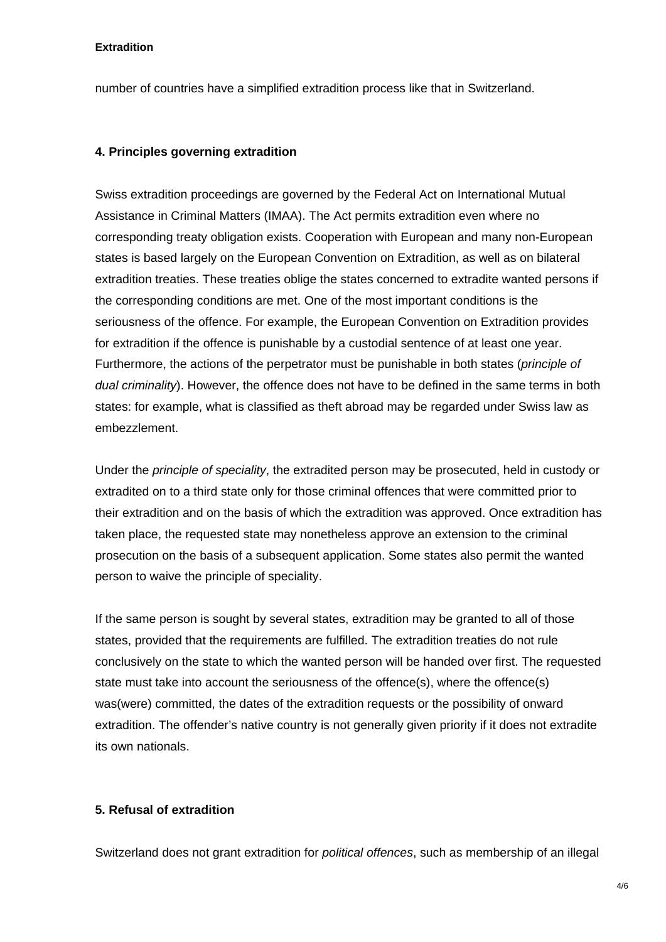number of countries have a simplified extradition process like that in Switzerland.

#### **4. Principles governing extradition**

Swiss extradition proceedings are governed by the Federal Act on International Mutual Assistance in Criminal Matters (IMAA). The Act permits extradition even where no corresponding treaty obligation exists. Cooperation with European and many non-European states is based largely on the European Convention on Extradition, as well as on bilateral extradition treaties. These treaties oblige the states concerned to extradite wanted persons if the corresponding conditions are met. One of the most important conditions is the seriousness of the offence. For example, the European Convention on Extradition provides for extradition if the offence is punishable by a custodial sentence of at least one year. Furthermore, the actions of the perpetrator must be punishable in both states (*principle of dual criminality*). However, the offence does not have to be defined in the same terms in both states: for example, what is classified as theft abroad may be regarded under Swiss law as embezzlement.

Under the *principle of speciality*, the extradited person may be prosecuted, held in custody or extradited on to a third state only for those criminal offences that were committed prior to their extradition and on the basis of which the extradition was approved. Once extradition has taken place, the requested state may nonetheless approve an extension to the criminal prosecution on the basis of a subsequent application. Some states also permit the wanted person to waive the principle of speciality.

If the same person is sought by several states, extradition may be granted to all of those states, provided that the requirements are fulfilled. The extradition treaties do not rule conclusively on the state to which the wanted person will be handed over first. The requested state must take into account the seriousness of the offence(s), where the offence(s) was(were) committed, the dates of the extradition requests or the possibility of onward extradition. The offender's native country is not generally given priority if it does not extradite its own nationals.

#### **5. Refusal of extradition**

Switzerland does not grant extradition for *political offences*, such as membership of an illegal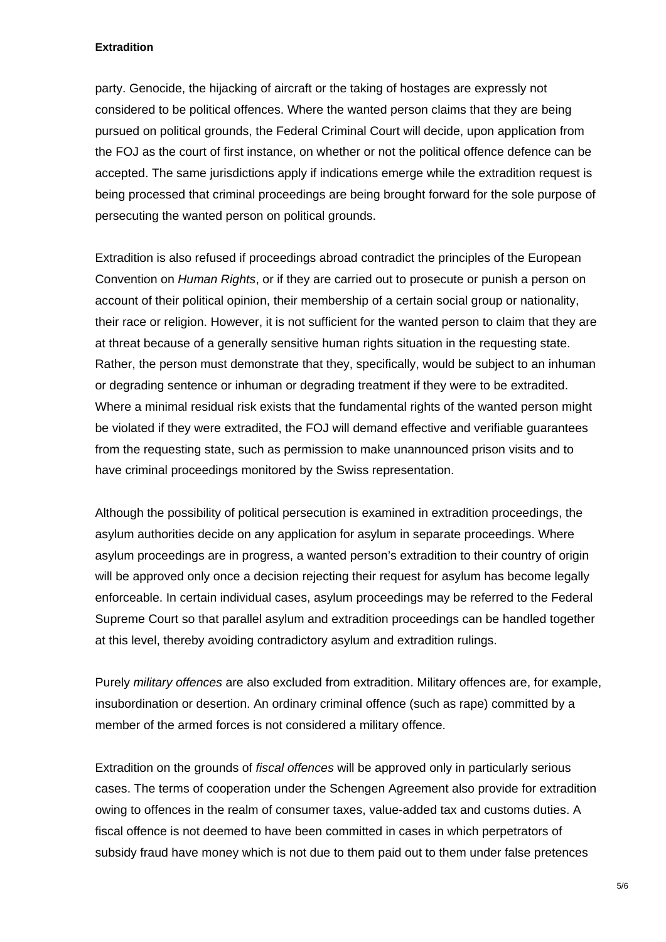party. Genocide, the hijacking of aircraft or the taking of hostages are expressly not considered to be political offences. Where the wanted person claims that they are being pursued on political grounds, the Federal Criminal Court will decide, upon application from the FOJ as the court of first instance, on whether or not the political offence defence can be accepted. The same jurisdictions apply if indications emerge while the extradition request is being processed that criminal proceedings are being brought forward for the sole purpose of persecuting the wanted person on political grounds.

Extradition is also refused if proceedings abroad contradict the principles of the European Convention on *Human Rights*, or if they are carried out to prosecute or punish a person on account of their political opinion, their membership of a certain social group or nationality, their race or religion. However, it is not sufficient for the wanted person to claim that they are at threat because of a generally sensitive human rights situation in the requesting state. Rather, the person must demonstrate that they, specifically, would be subject to an inhuman or degrading sentence or inhuman or degrading treatment if they were to be extradited. Where a minimal residual risk exists that the fundamental rights of the wanted person might be violated if they were extradited, the FOJ will demand effective and verifiable guarantees from the requesting state, such as permission to make unannounced prison visits and to have criminal proceedings monitored by the Swiss representation.

Although the possibility of political persecution is examined in extradition proceedings, the asylum authorities decide on any application for asylum in separate proceedings. Where asylum proceedings are in progress, a wanted person's extradition to their country of origin will be approved only once a decision rejecting their request for asylum has become legally enforceable. In certain individual cases, asylum proceedings may be referred to the Federal Supreme Court so that parallel asylum and extradition proceedings can be handled together at this level, thereby avoiding contradictory asylum and extradition rulings.

Purely *military offences* are also excluded from extradition. Military offences are, for example, insubordination or desertion. An ordinary criminal offence (such as rape) committed by a member of the armed forces is not considered a military offence.

Extradition on the grounds of *fiscal offences* will be approved only in particularly serious cases. The terms of cooperation under the Schengen Agreement also provide for extradition owing to offences in the realm of consumer taxes, value-added tax and customs duties. A fiscal offence is not deemed to have been committed in cases in which perpetrators of subsidy fraud have money which is not due to them paid out to them under false pretences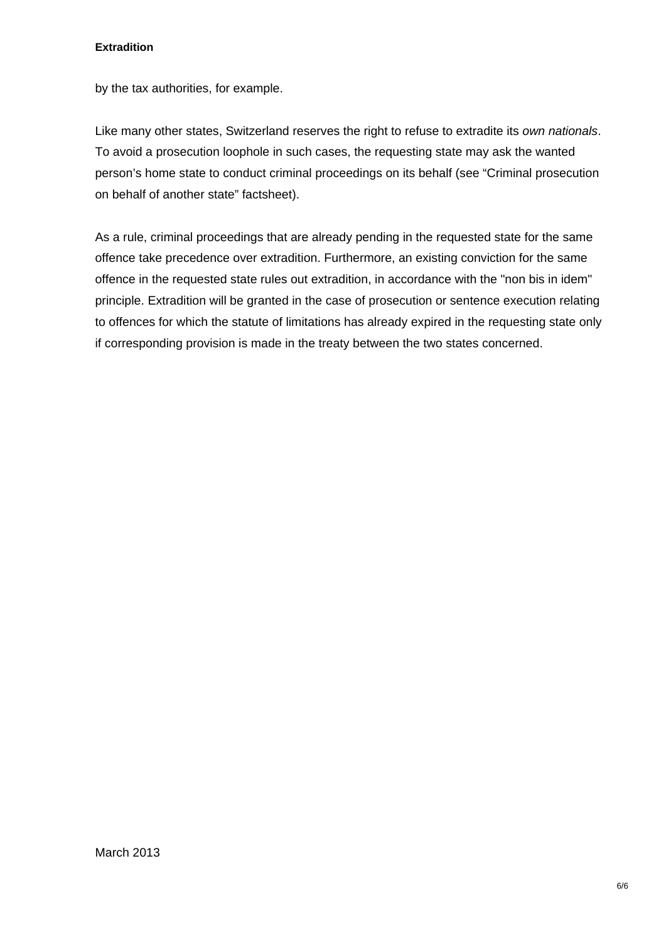by the tax authorities, for example.

Like many other states, Switzerland reserves the right to refuse to extradite its *own nationals*. To avoid a prosecution loophole in such cases, the requesting state may ask the wanted person's home state to conduct criminal proceedings on its behalf (see "Criminal prosecution on behalf of another state" factsheet).

As a rule, criminal proceedings that are already pending in the requested state for the same offence take precedence over extradition. Furthermore, an existing conviction for the same offence in the requested state rules out extradition, in accordance with the "non bis in idem" principle. Extradition will be granted in the case of prosecution or sentence execution relating to offences for which the statute of limitations has already expired in the requesting state only if corresponding provision is made in the treaty between the two states concerned.